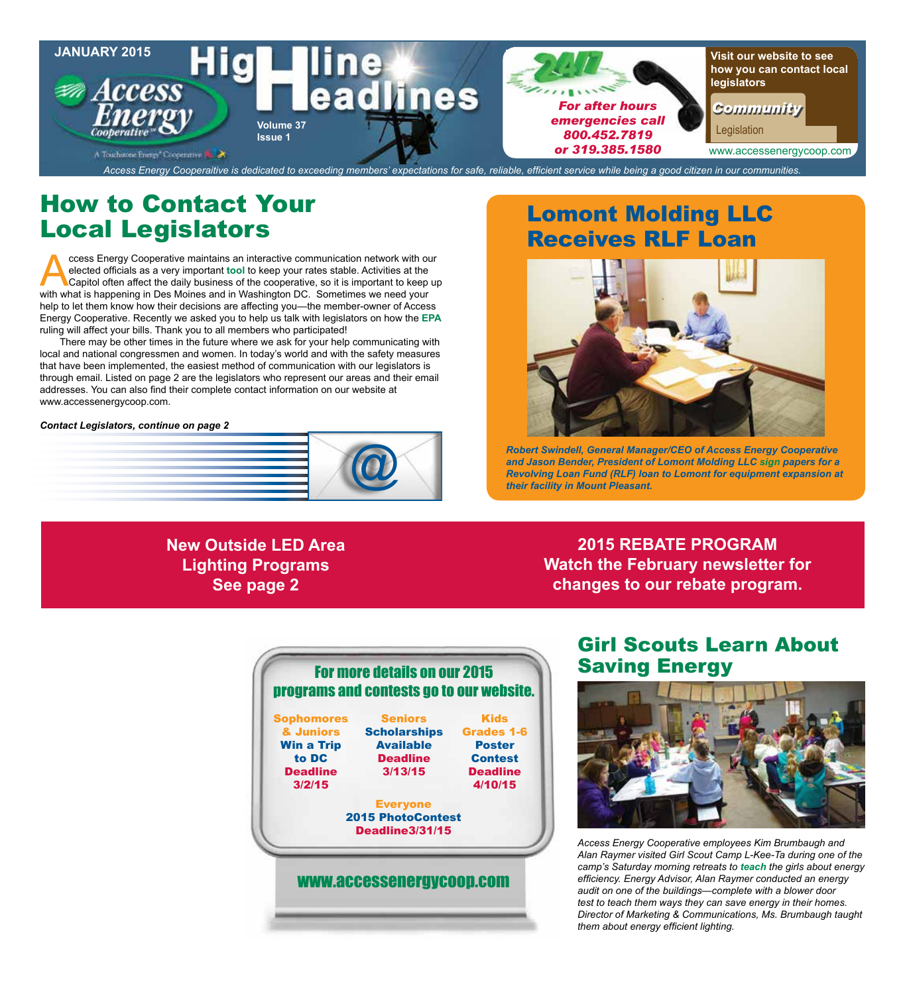

## How to Contact Your Local Legislators

Cooperative maintains an interactive communication network with our elected officials as a very important tool to keep your rates stable. Activities at the Capitol often affect the daily business of the cooperative, so it elected officials as a very important **tool** to keep your rates stable. Activities at the with what is happening in Des Moines and in Washington DC. Sometimes we need your help to let them know how their decisions are affecting you—the member-owner of Access Energy Cooperative. Recently we asked you to help us talk with legislators on how the **EPA** ruling will affect your bills. Thank you to all members who participated!

There may be other times in the future where we ask for your help communicating with local and national congressmen and women. In today's world and with the safety measures that have been implemented, the easiest method of communication with our legislators is through email. Listed on page 2 are the legislators who represent our areas and their email addresses. You can also find their complete contact information on our website at www.accessenergycoop.com.

#### *Contact Legislators, continue on page 2*



## Lomont Molding LLC Receives RLF Loan



*Robert Swindell, General Manager/CEO of Access Energy Cooperative and Jason Bender, President of Lomont Molding LLC sign papers for a Revolving Loan Fund (RLF) loan to Lomont for equipment expansion at their facility in Mount Pleasant.*

## **New Outside LED Area Lighting Programs See page 2**

**2015 REBATE PROGRAM Watch the February newsletter for changes to our rebate program.**

## Girl Scouts Learn About Saving Energy



*Access Energy Cooperative employees Kim Brumbaugh and Alan Raymer visited Girl Scout Camp L-Kee-Ta during one of the camp's Saturday morning retreats to teach the girls about energy efficiency. Energy Advisor, Alan Raymer conducted an energy audit on one of the buildings—complete with a blower door test to teach them ways they can save energy in their homes. Director of Marketing & Communications, Ms. Brumbaugh taught them about energy efficient lighting.*

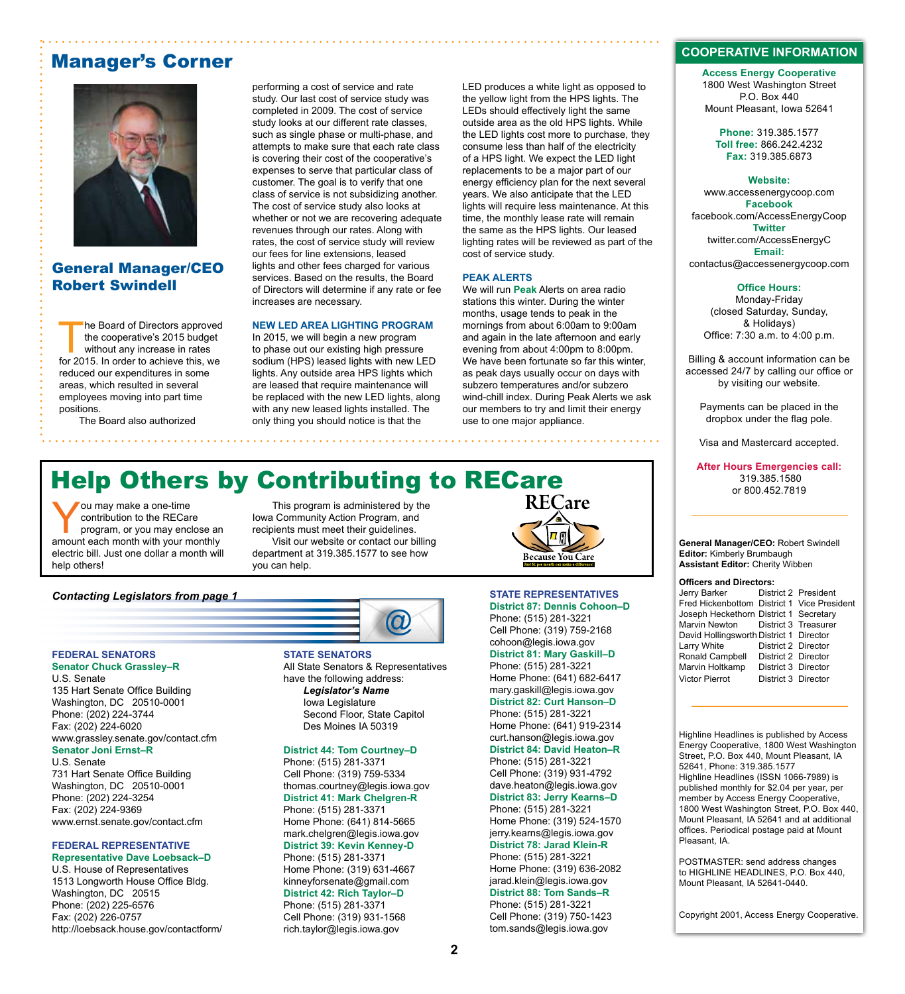## Manager's Corner



### General Manager/CEO Robert Swindell

he Board of Directors approved<br>the cooperative's 2015 budget<br>without any increase in rates<br>for 2015. In order to achieve this we the cooperative's 2015 budget for 2015. In order to achieve this, we reduced our expenditures in some areas, which resulted in several employees moving into part time positions.

The Board also authorized

performing a cost of service and rate study. Our last cost of service study was completed in 2009. The cost of service study looks at our different rate classes, such as single phase or multi-phase, and attempts to make sure that each rate class is covering their cost of the cooperative's expenses to serve that particular class of customer. The goal is to verify that one class of service is not subsidizing another. The cost of service study also looks at whether or not we are recovering adequate revenues through our rates. Along with rates, the cost of service study will review our fees for line extensions, leased lights and other fees charged for various services. Based on the results, the Board of Directors will determine if any rate or fee increases are necessary.

#### **NEW LED AREA LIGHTING PROGRAM**

In 2015, we will begin a new program to phase out our existing high pressure sodium (HPS) leased lights with new LED lights. Any outside area HPS lights which are leased that require maintenance will be replaced with the new LED lights, along with any new leased lights installed. The only thing you should notice is that the

LED produces a white light as opposed to the yellow light from the HPS lights. The LEDs should effectively light the same outside area as the old HPS lights. While the LED lights cost more to purchase, they consume less than half of the electricity of a HPS light. We expect the LED light replacements to be a major part of our energy efficiency plan for the next several years. We also anticipate that the LED lights will require less maintenance. At this time, the monthly lease rate will remain the same as the HPS lights. Our leased lighting rates will be reviewed as part of the cost of service study.

#### **PEAK ALERTS**

We will run **Peak** Alerts on area radio stations this winter. During the winter months, usage tends to peak in the mornings from about 6:00am to 9:00am and again in the late afternoon and early evening from about 4:00pm to 8:00pm. We have been fortunate so far this winter, as peak days usually occur on days with subzero temperatures and/or subzero wind-chill index. During Peak Alerts we ask our members to try and limit their energy use to one major appliance.

# Help Others by Contributing to RECare

ou may make a one-time<br>
contribution to the RECare<br>
program, or you may enclose an<br>
amount each month with your monthly contribution to the RECare amount each month with your monthly electric bill. Just one dollar a month will help others!

*Contacting Legislators from page 1*

This program is administered by the Iowa Community Action Program, and recipients must meet their guidelines. Visit our website or contact our billing department at 319.385.1577 to see how you can help.



## **STATE REPRESENTATIVES**

Phone: (515) 281-3221 Cell Phone: (319) 759-2168 cohoon@legis.iowa.gov **District 81: Mary Gaskill–D** Phone: (515) 281-3221 Home Phone: (641) 682-6417 mary.gaskill@legis.iowa.gov **District 82: Curt Hanson–D**  Phone: (515) 281-3221 Home Phone: (641) 919-2314 curt.hanson@legis.iowa.gov **District 84: David Heaton–R** Phone: (515) 281-3221 Cell Phone: (319) 931-4792 dave.heaton@legis.iowa.gov **District 83: Jerry Kearns–D**  Phone: (515) 281-3221 Home Phone: (319) 524-1570 jerry.kearns@legis.iowa.gov **District 78: Jarad Klein-R** Phone: (515) 281-3221 Home Phone: (319) 636-2082 jarad.klein@legis.iowa.gov **District 88: Tom Sands–R**  Phone: (515) 281-3221 Cell Phone: (319) 750-1423 tom.sands@legis.iowa.gov

#### **COOPERATIVE INFORMATION**

**Access Energy Cooperative** 1800 West Washington Street P.O. Box 440 Mount Pleasant, Iowa 52641

**Phone:** 319.385.1577 **Toll free:** 866.242.4232 **Fax:** 319.385.6873

#### **Website:**

www.accessenergycoop.com **Facebook** facebook.com/AccessEnergyCoop **Twitter** twitter.com/AccessEnergyC **Email:** contactus@accessenergycoop.com

#### **Office Hours:**

Monday-Friday (closed Saturday, Sunday, & Holidays) Office: 7:30 a.m. to 4:00 p.m.

Billing & account information can be accessed 24/7 by calling our office or by visiting our website.

Payments can be placed in the dropbox under the flag pole.

Visa and Mastercard accepted.

**After Hours Emergencies call:** 319.385.1580 or 800.452.7819

#### **General Manager/CEO:** Robert Swindell **Editor:** Kimberly Brumbaugh **Assistant Editor:** Cherity Wibben

#### **Officers and Directors:**

| Jerry Barker                                |                     | District 2 President |
|---------------------------------------------|---------------------|----------------------|
| Fred Hickenbottom District 1 Vice President |                     |                      |
| Joseph Heckethorn District 1 Secretary      |                     |                      |
| Marvin Newton District 3 Treasurer          |                     |                      |
| David Hollingsworth District 1 Director     |                     |                      |
| Larry White                                 | District 2 Director |                      |
| Ronald Campbell                             | District 2 Director |                      |
| Marvin Holtkamp                             | District 3 Director |                      |
| <b>Victor Pierrot</b>                       | District 3 Director |                      |
|                                             |                     |                      |

**FEDERAL SENATORS Senator Chuck Grassley–R** 

U.S. Senate 135 Hart Senate Office Building Washington, DC 20510-0001 Phone: (202) 224-3744 Fax: (202) 224-6020 www.grassley.senate.gov/contact.cfm **Senator Joni Ernst–R**

U.S. Senate

731 Hart Senate Office Building Washington, DC 20510-0001 Phone: (202) 224-3254 Fax: (202) 224-9369 www.ernst.senate.gov/contact.cfm

#### **FEDERAL REPRESENTATIVE Representative Dave Loebsack–D**

U.S. House of Representatives 1513 Longworth House Office Bldg. Washington, DC 20515 Phone: (202) 225-6576 Fax: (202) 226-0757 http://loebsack.house.gov/contactform/



**STATE SENATORS** All State Senators & Representatives have the following address: *Legislator's Name* Iowa Legislature Second Floor, State Capitol Des Moines IA 50319

#### **District 44: Tom Courtney–D**

Phone: (515) 281-3371 Cell Phone: (319) 759-5334 thomas.courtney@legis.iowa.gov **District 41: Mark Chelgren-R** Phone: (515) 281-3371 Home Phone: (641) 814-5665 mark.chelgren@legis.iowa.gov **District 39: Kevin Kenney-D** Phone: (515) 281-3371 Home Phone: (319) 631-4667 kinneyforsenate@gmail.com **District 42: Rich Taylor–D** Phone: (515) 281-3371 Cell Phone: (319) 931-1568 rich.taylor@legis.iowa.gov

# **District 87: Dennis Cohoon–D**

Highline Headlines is published by Access Energy Cooperative, 1800 West Washington Street, P.O. Box 440, Mount Pleasant, IA 52641, Phone: 319.385.1577 Highline Headlines (ISSN 1066-7989) is published monthly for \$2.04 per year, per member by Access Energy Cooperative, 1800 West Washington Street, P.O. Box 440, Mount Pleasant, IA 52641 and at additional offices. Periodical postage paid at Mount

POSTMASTER: send address changes to HIGHLINE HEADLINES, P.O. Box 440, Mount Pleasant, IA 52641-0440.

Pleasant, IA.

Copyright 2001, Access Energy Cooperative.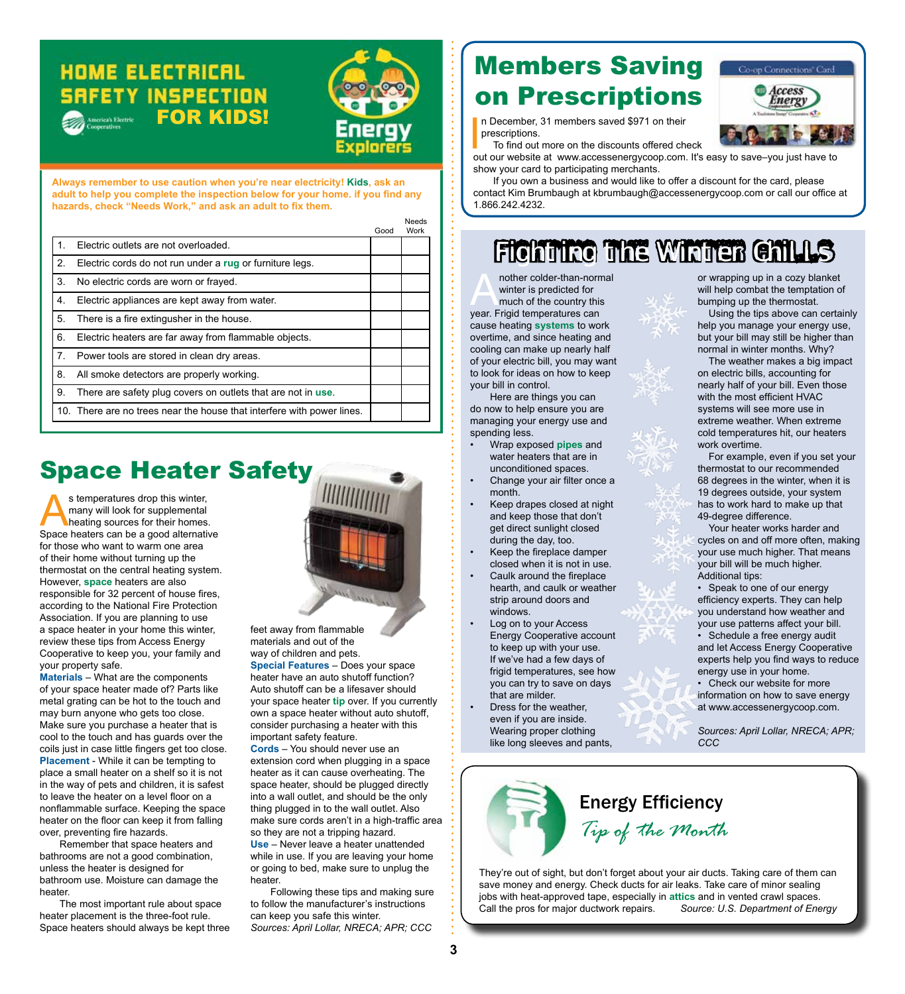## **HOME ELECTRICAL SRFETY INSPECTION FOR KIDS!**



**Always remember to use caution when you're near electricity! Kids, ask an adult to help you complete the inspection below for your home. if you find any hazards, check "Needs Work," and ask an adult to fix them.**

|                |                                                                        | Good | Needs<br>Work |
|----------------|------------------------------------------------------------------------|------|---------------|
| 1 <sub>1</sub> | Electric outlets are not overloaded.                                   |      |               |
| 2.             | Electric cords do not run under a rug or furniture legs.               |      |               |
| 3.             | No electric cords are worn or frayed.                                  |      |               |
| 4.             | Electric appliances are kept away from water.                          |      |               |
| 5.             | There is a fire extingusher in the house.                              |      |               |
| 6.             | Electric heaters are far away from flammable objects.                  |      |               |
| 7.             | Power tools are stored in clean dry areas.                             |      |               |
| 8.             | All smoke detectors are properly working.                              |      |               |
| 9.             | There are safety plug covers on outlets that are not in use.           |      |               |
|                | 10. There are no trees near the house that interfere with power lines. |      |               |

# Space Heater Safety

s temperatures drop this winter,<br>
many will look for supplemental<br>
heating sources for their homes.<br>
Space beaters can be a good alternative many will look for supplemental Space heaters can be a good alternative for those who want to warm one area of their home without turning up the thermostat on the central heating system. However, **space** heaters are also responsible for 32 percent of house fires, according to the National Fire Protection Association. If you are planning to use a space heater in your home this winter, review these tips from Access Energy Cooperative to keep you, your family and your property safe.

**Materials** – What are the components of your space heater made of? Parts like metal grating can be hot to the touch and may burn anyone who gets too close. Make sure you purchase a heater that is cool to the touch and has guards over the coils just in case little fingers get too close. **Placement** - While it can be tempting to place a small heater on a shelf so it is not in the way of pets and children, it is safest to leave the heater on a level floor on a nonflammable surface. Keeping the space heater on the floor can keep it from falling over, preventing fire hazards.

Remember that space heaters and bathrooms are not a good combination, unless the heater is designed for bathroom use. Moisture can damage the heater.

The most important rule about space heater placement is the three-foot rule. Space heaters should always be kept three



feet away from flammable materials and out of the way of children and pets. **Special Features** – Does your space heater have an auto shutoff function? Auto shutoff can be a lifesaver should your space heater **tip** over. If you currently own a space heater without auto shutoff, consider purchasing a heater with this

important safety feature. **Cords** – You should never use an extension cord when plugging in a space heater as it can cause overheating. The space heater, should be plugged directly into a wall outlet, and should be the only thing plugged in to the wall outlet. Also make sure cords aren't in a high-traffic area so they are not a tripping hazard. **Use** – Never leave a heater unattended while in use. If you are leaving your home or going to bed, make sure to unplug the

heater. Following these tips and making sure to follow the manufacturer's instructions can keep you safe this winter. *Sources: April Lollar, NRECA; APR; CCC*

# Members Saving on Prescriptions



n December, 31 members saved \$971 on their prescriptions.

To find out more on the discounts offered check out our website at www.accessenergycoop.com. It's easy to save–you just have to

show your card to participating merchants. If you own a business and would like to offer a discount for the card, please contact Kim Brumbaugh at kbrumbaugh@accessenergycoop.com or call our office at 1.866.242.4232.

# FIGHTING THE WINTER GHILLS

nother colder-than-normal<br>winter is predicted for<br>much of the country this<br>year. Frigid temperatures can winter is predicted for much of the country this year. Frigid temperatures can cause heating **systems** to work overtime, and since heating and cooling can make up nearly half of your electric bill, you may want to look for ideas on how to keep your bill in control.

Here are things you can do now to help ensure you are managing your energy use and spending less.

- Wrap exposed **pipes** and water heaters that are in unconditioned spaces.
- Change your air filter once a month.
- Keep drapes closed at night and keep those that don't get direct sunlight closed during the day, too.
- Keep the fireplace damper closed when it is not in use.
- Caulk around the fireplace hearth, and caulk or weather strip around doors and windows.
- Log on to your Access Energy Cooperative account to keep up with your use. If we've had a few days of frigid temperatures, see how you can try to save on days that are milder.
- Dress for the weather, even if you are inside. Wearing proper clothing like long sleeves and pants,

or wrapping up in a cozy blanket will help combat the temptation of bumping up the thermostat.

Using the tips above can certainly help you manage your energy use, but your bill may still be higher than normal in winter months. Why?

The weather makes a big impact on electric bills, accounting for nearly half of your bill. Even those with the most efficient HVAC systems will see more use in extreme weather. When extreme cold temperatures hit, our heaters work overtime.

For example, even if you set your thermostat to our recommended 68 degrees in the winter, when it is 19 degrees outside, your system has to work hard to make up that 49-degree difference.

Your heater works harder and cycles on and off more often, making your use much higher. That means your bill will be much higher. Additional tips:

• Speak to one of our energy efficiency experts. They can help you understand how weather and your use patterns affect your bill. • Schedule a free energy audit and let Access Energy Cooperative experts help you find ways to reduce energy use in your home.

• Check our website for more information on how to save energy at www.accessenergycoop.com.

*Sources: April Lollar, NRECA; APR; CCC*



They're out of sight, but don't forget about your air ducts. Taking care of them can save money and energy. Check ducts for air leaks. Take care of minor sealing jobs with heat-approved tape, especially in **attics** and in vented crawl spaces. Call the pros for major ductwork repairs. *Source: U.S. Department of Energy*